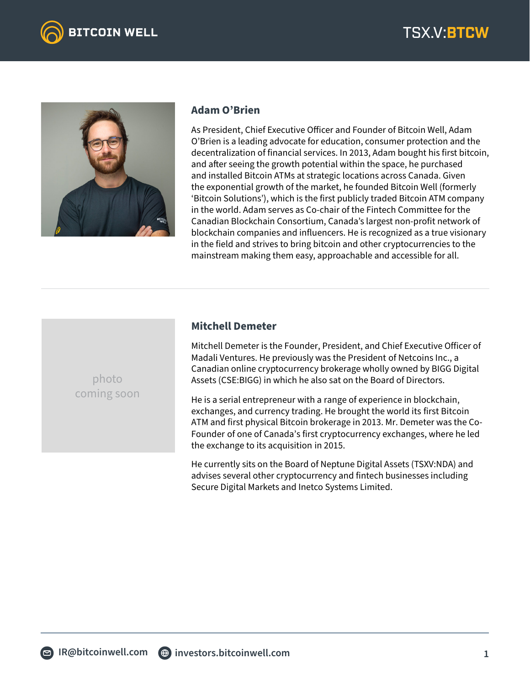



## **Adam O'Brien**

As President, Chief Executive Officer and Founder of Bitcoin Well, Adam O'Brien is a leading advocate for education, consumer protection and the decentralization of financial services. In 2013, Adam bought his first bitcoin, and after seeing the growth potential within the space, he purchased and installed Bitcoin ATMs at strategic locations across Canada. Given the exponential growth of the market, he founded Bitcoin Well (formerly 'Bitcoin Solutions'), which is the first publicly traded Bitcoin ATM company in the world. Adam serves as Co-chair of the Fintech Committee for the Canadian Blockchain Consortium, Canada's largest non-profit network of blockchain companies and influencers. He is recognized as a true visionary in the field and strives to bring bitcoin and other cryptocurrencies to the mainstream making them easy, approachable and accessible for all.

## **Mitchell Demeter**

Mitchell Demeter is the Founder, President, and Chief Executive Officer of Madali Ventures. He previously was the President of Netcoins Inc., a Canadian online cryptocurrency brokerage wholly owned by BIGG Digital Assets (CSE:BIGG) in which he also sat on the Board of Directors.

He is a serial entrepreneur with a range of experience in blockchain, exchanges, and currency trading. He brought the world its first Bitcoin ATM and first physical Bitcoin brokerage in 2013. Mr. Demeter was the Co-Founder of one of Canada's first cryptocurrency exchanges, where he led the exchange to its acquisition in 2015.

He currently sits on the Board of Neptune Digital Assets (TSXV:NDA) and advises several other cryptocurrency and fintech businesses including Secure Digital Markets and Inetco Systems Limited.

photo coming soon